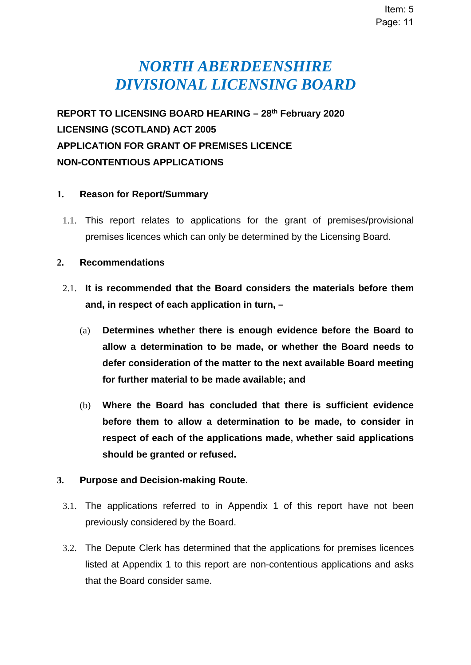# *NORTH ABERDEENSHIRE DIVISIONAL LICENSING BOARD*

**REPORT TO LICENSING BOARD HEARING – 28th February 2020 LICENSING (SCOTLAND) ACT 2005 APPLICATION FOR GRANT OF PREMISES LICENCE NON-CONTENTIOUS APPLICATIONS** 

#### **1. Reason for Report/Summary**

1.1. This report relates to applications for the grant of premises/provisional premises licences which can only be determined by the Licensing Board.

#### **2. Recommendations**

- 2.1. **It is recommended that the Board considers the materials before them and, in respect of each application in turn, –** 
	- (a) **Determines whether there is enough evidence before the Board to allow a determination to be made, or whether the Board needs to defer consideration of the matter to the next available Board meeting for further material to be made available; and**
	- (b) **Where the Board has concluded that there is sufficient evidence before them to allow a determination to be made, to consider in respect of each of the applications made, whether said applications should be granted or refused.**

# **3. Purpose and Decision-making Route.**

- 3.1. The applications referred to in Appendix 1 of this report have not been previously considered by the Board.
- 3.2. The Depute Clerk has determined that the applications for premises licences listed at Appendix 1 to this report are non-contentious applications and asks that the Board consider same.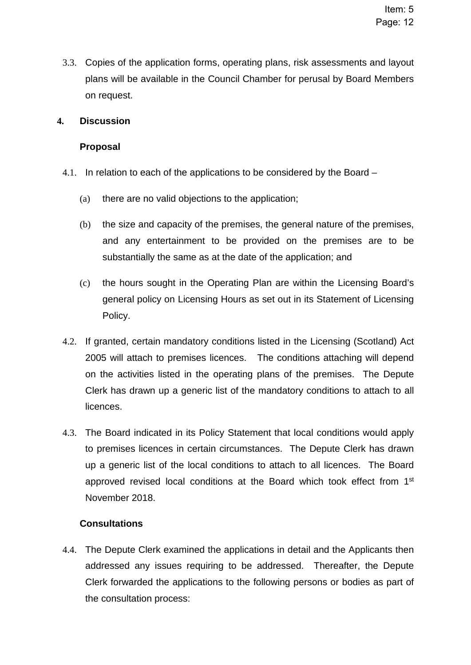3.3. Copies of the application forms, operating plans, risk assessments and layout plans will be available in the Council Chamber for perusal by Board Members on request.

## **4. Discussion**

## **Proposal**

- 4.1. In relation to each of the applications to be considered by the Board
	- (a) there are no valid objections to the application;
	- (b) the size and capacity of the premises, the general nature of the premises, and any entertainment to be provided on the premises are to be substantially the same as at the date of the application; and
	- (c) the hours sought in the Operating Plan are within the Licensing Board's general policy on Licensing Hours as set out in its Statement of Licensing Policy.
- 4.2. If granted, certain mandatory conditions listed in the Licensing (Scotland) Act 2005 will attach to premises licences. The conditions attaching will depend on the activities listed in the operating plans of the premises. The Depute Clerk has drawn up a generic list of the mandatory conditions to attach to all licences.
- 4.3. The Board indicated in its Policy Statement that local conditions would apply to premises licences in certain circumstances. The Depute Clerk has drawn up a generic list of the local conditions to attach to all licences. The Board approved revised local conditions at the Board which took effect from 1<sup>st</sup> November 2018.

# **Consultations**

4.4. The Depute Clerk examined the applications in detail and the Applicants then addressed any issues requiring to be addressed. Thereafter, the Depute Clerk forwarded the applications to the following persons or bodies as part of the consultation process: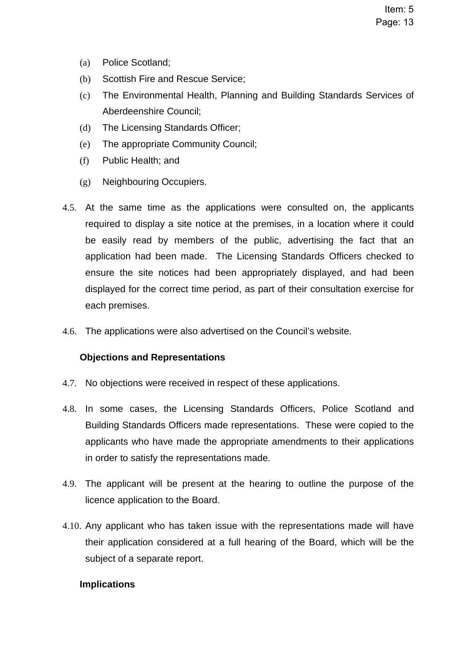- (a) Police Scotland;
- (b) Scottish Fire and Rescue Service;
- (c) The Environmental Health, Planning and Building Standards Services of Aberdeenshire Council;
- (d) The Licensing Standards Officer;
- (e) The appropriate Community Council;
- (f) Public Health; and
- (g) Neighbouring Occupiers.
- 4.5. At the same time as the applications were consulted on, the applicants required to display a site notice at the premises, in a location where it could be easily read by members of the public, advertising the fact that an application had been made. The Licensing Standards Officers checked to ensure the site notices had been appropriately displayed, and had been displayed for the correct time period, as part of their consultation exercise for each premises.
- 4.6. The applications were also advertised on the Council's website.

#### **Objections and Representations**

- 4.7. No objections were received in respect of these applications.
- 4.8. In some cases, the Licensing Standards Officers, Police Scotland and Building Standards Officers made representations. These were copied to the applicants who have made the appropriate amendments to their applications in order to satisfy the representations made.
- 4.9. The applicant will be present at the hearing to outline the purpose of the licence application to the Board.
- 4.10. Any applicant who has taken issue with the representations made will have their application considered at a full hearing of the Board, which will be the subject of a separate report.

#### **Implications**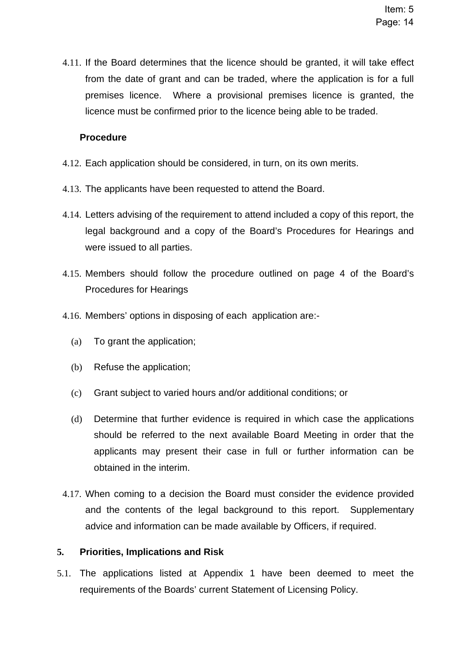4.11. If the Board determines that the licence should be granted, it will take effect from the date of grant and can be traded, where the application is for a full premises licence. Where a provisional premises licence is granted, the licence must be confirmed prior to the licence being able to be traded.

#### **Procedure**

- 4.12. Each application should be considered, in turn, on its own merits.
- 4.13. The applicants have been requested to attend the Board.
- 4.14. Letters advising of the requirement to attend included a copy of this report, the legal background and a copy of the Board's Procedures for Hearings and were issued to all parties.
- 4.15. Members should follow the procedure outlined on page 4 of the Board's Procedures for Hearings
- 4.16. Members' options in disposing of each application are:-
	- (a) To grant the application;
	- (b) Refuse the application;
	- (c) Grant subject to varied hours and/or additional conditions; or
	- (d) Determine that further evidence is required in which case the applications should be referred to the next available Board Meeting in order that the applicants may present their case in full or further information can be obtained in the interim.
- 4.17. When coming to a decision the Board must consider the evidence provided and the contents of the legal background to this report. Supplementary advice and information can be made available by Officers, if required.

#### **5. Priorities, Implications and Risk**

5.1. The applications listed at Appendix 1 have been deemed to meet the requirements of the Boards' current Statement of Licensing Policy.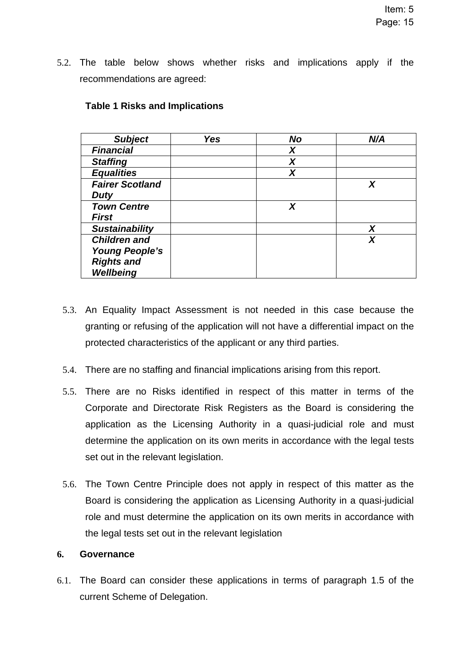5.2. The table below shows whether risks and implications apply if the recommendations are agreed:

| <b>Subject</b>         | <b>Yes</b> | <b>No</b> | N/A |
|------------------------|------------|-----------|-----|
| <b>Financial</b>       |            | X         |     |
| <b>Staffing</b>        |            | X         |     |
| <b>Equalities</b>      |            | X         |     |
| <b>Fairer Scotland</b> |            |           | X   |
| <b>Duty</b>            |            |           |     |
| <b>Town Centre</b>     |            | X         |     |
| <b>First</b>           |            |           |     |
| <b>Sustainability</b>  |            |           | X   |
| <b>Children and</b>    |            |           | X   |
| <b>Young People's</b>  |            |           |     |
| <b>Rights and</b>      |            |           |     |
| Wellbeing              |            |           |     |

#### **Table 1 Risks and Implications**

- 5.3. An Equality Impact Assessment is not needed in this case because the granting or refusing of the application will not have a differential impact on the protected characteristics of the applicant or any third parties.
- 5.4. There are no staffing and financial implications arising from this report.
- 5.5. There are no Risks identified in respect of this matter in terms of the Corporate and Directorate Risk Registers as the Board is considering the application as the Licensing Authority in a quasi-judicial role and must determine the application on its own merits in accordance with the legal tests set out in the relevant legislation.
- 5.6. The Town Centre Principle does not apply in respect of this matter as the Board is considering the application as Licensing Authority in a quasi-judicial role and must determine the application on its own merits in accordance with the legal tests set out in the relevant legislation

#### **6. Governance**

6.1. The Board can consider these applications in terms of paragraph 1.5 of the current Scheme of Delegation.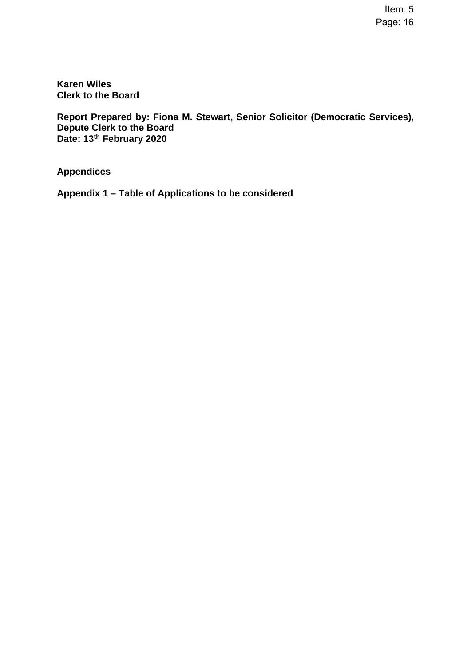Item: 5 Page: 16

**Karen Wiles Clerk to the Board** 

**Report Prepared by: Fiona M. Stewart, Senior Solicitor (Democratic Services), Depute Clerk to the Board Date: 13th February 2020** 

**Appendices** 

**Appendix 1 – Table of Applications to be considered**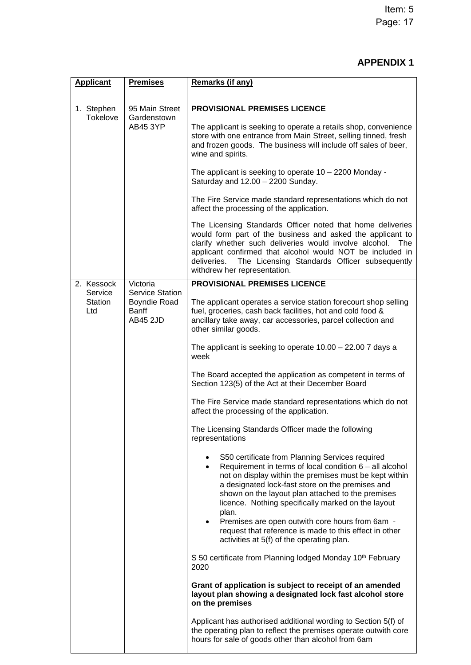# **APPENDIX 1**

| <b>Applicant</b>              | <b>Premises</b>                                                           | <b>Remarks (if any)</b>                                                                                                                                                                                                                                                                                                                                                                                                                                                                                                                                                                                                                                                                                                                                                                                                                         |  |
|-------------------------------|---------------------------------------------------------------------------|-------------------------------------------------------------------------------------------------------------------------------------------------------------------------------------------------------------------------------------------------------------------------------------------------------------------------------------------------------------------------------------------------------------------------------------------------------------------------------------------------------------------------------------------------------------------------------------------------------------------------------------------------------------------------------------------------------------------------------------------------------------------------------------------------------------------------------------------------|--|
| 1. Stephen<br><b>Tokelove</b> | 95 Main Street<br>Gardenstown<br>AB45 3YP                                 | <b>PROVISIONAL PREMISES LICENCE</b><br>The applicant is seeking to operate a retails shop, convenience<br>store with one entrance from Main Street, selling tinned, fresh<br>and frozen goods. The business will include off sales of beer,<br>wine and spirits.<br>The applicant is seeking to operate $10 - 2200$ Monday -<br>Saturday and $12.00 - 2200$ Sunday.<br>The Fire Service made standard representations which do not<br>affect the processing of the application.<br>The Licensing Standards Officer noted that home deliveries<br>would form part of the business and asked the applicant to<br>clarify whether such deliveries would involve alcohol.<br><b>The</b><br>applicant confirmed that alcohol would NOT be included in<br>The Licensing Standards Officer subsequently<br>deliveries.<br>withdrew her representation. |  |
| 2. Kessock                    | Victoria                                                                  | <b>PROVISIONAL PREMISES LICENCE</b>                                                                                                                                                                                                                                                                                                                                                                                                                                                                                                                                                                                                                                                                                                                                                                                                             |  |
| Service<br>Station<br>Ltd     | <b>Service Station</b><br><b>Boyndie Road</b><br>Banff<br><b>AB45 2JD</b> | The applicant operates a service station forecourt shop selling<br>fuel, groceries, cash back facilities, hot and cold food &<br>ancillary take away, car accessories, parcel collection and<br>other similar goods.                                                                                                                                                                                                                                                                                                                                                                                                                                                                                                                                                                                                                            |  |
|                               |                                                                           | The applicant is seeking to operate $10.00 - 22.007$ days a<br>week                                                                                                                                                                                                                                                                                                                                                                                                                                                                                                                                                                                                                                                                                                                                                                             |  |
|                               |                                                                           | The Board accepted the application as competent in terms of<br>Section 123(5) of the Act at their December Board                                                                                                                                                                                                                                                                                                                                                                                                                                                                                                                                                                                                                                                                                                                                |  |
|                               |                                                                           | The Fire Service made standard representations which do not<br>affect the processing of the application.                                                                                                                                                                                                                                                                                                                                                                                                                                                                                                                                                                                                                                                                                                                                        |  |
|                               |                                                                           | The Licensing Standards Officer made the following<br>representations                                                                                                                                                                                                                                                                                                                                                                                                                                                                                                                                                                                                                                                                                                                                                                           |  |
|                               |                                                                           | S50 certificate from Planning Services required<br>Requirement in terms of local condition $6 -$ all alcohol<br>not on display within the premises must be kept within<br>a designated lock-fast store on the premises and<br>shown on the layout plan attached to the premises<br>licence. Nothing specifically marked on the layout<br>plan.<br>Premises are open outwith core hours from 6am -<br>request that reference is made to this effect in other<br>activities at 5(f) of the operating plan.                                                                                                                                                                                                                                                                                                                                        |  |
|                               |                                                                           | S 50 certificate from Planning lodged Monday 10 <sup>th</sup> February<br>2020                                                                                                                                                                                                                                                                                                                                                                                                                                                                                                                                                                                                                                                                                                                                                                  |  |
|                               |                                                                           | Grant of application is subject to receipt of an amended<br>layout plan showing a designated lock fast alcohol store<br>on the premises                                                                                                                                                                                                                                                                                                                                                                                                                                                                                                                                                                                                                                                                                                         |  |
|                               |                                                                           | Applicant has authorised additional wording to Section 5(f) of<br>the operating plan to reflect the premises operate outwith core<br>hours for sale of goods other than alcohol from 6am                                                                                                                                                                                                                                                                                                                                                                                                                                                                                                                                                                                                                                                        |  |